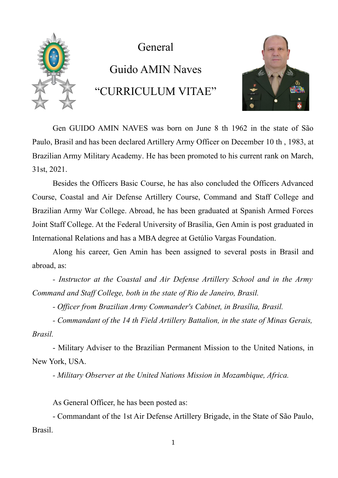

General

## Guido AMIN Naves "CURRICULUM VITAE"



Gen GUIDO AMIN NAVES was born on June 8 th 1962 in the state of São Paulo, Brasil and has been declared Artillery Army Officer on December 10 th , 1983, at Brazilian Army Military Academy. He has been promoted to his current rank on March, 31st, 2021.

Besides the Officers Basic Course, he has also concluded the Officers Advanced Course, Coastal and Air Defense Artillery Course, Command and Staff College and Brazilian Army War College. Abroad, he has been graduated at Spanish Armed Forces Joint Staff College. At the Federal University of Brasília, Gen Amin is post graduated in International Relations and has a MBA degree at Getúlio Vargas Foundation.

Along his career, Gen Amin has been assigned to several posts in Brasil and abroad, as:

*- Instructor at the Coastal and Air Defense Artillery School and in the Army Command and Staff College, both in the state of Rio de Janeiro, Brasil.*

*- Officer from Brazilian Army Commander's Cabinet, in Brasília, Brasil.*

*- Commandant of the 14 th Field Artillery Battalion, in the state of Minas Gerais, Brasil.*

- Military Adviser to the Brazilian Permanent Mission to the United Nations, in New York, USA.

*- Military Observer at the United Nations Mission in Mozambique, Africa.*

As General Officer, he has been posted as:

- Commandant of the 1st Air Defense Artillery Brigade, in the State of São Paulo, Brasil.